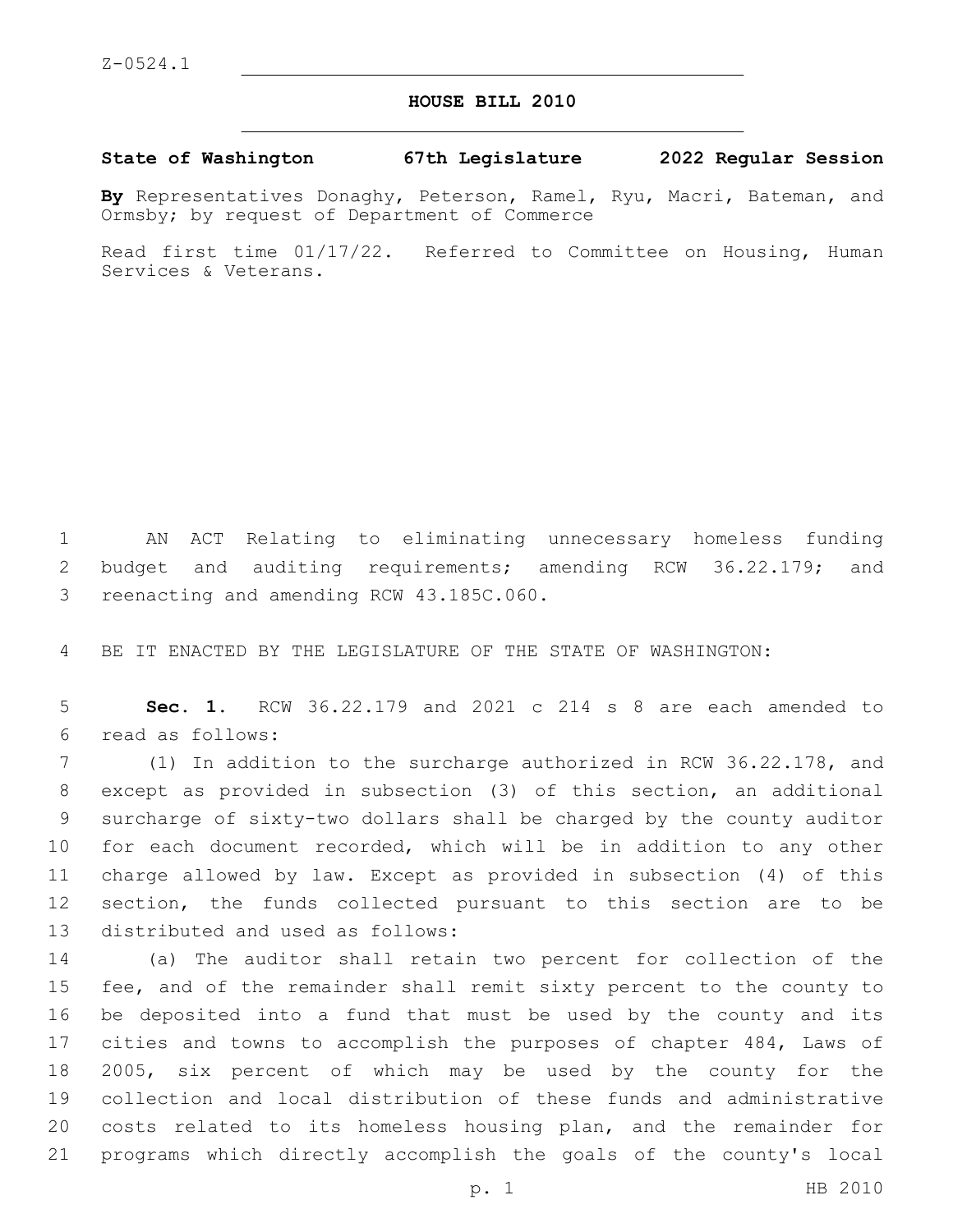## **HOUSE BILL 2010**

**State of Washington 67th Legislature 2022 Regular Session**

**By** Representatives Donaghy, Peterson, Ramel, Ryu, Macri, Bateman, and Ormsby; by request of Department of Commerce

Read first time 01/17/22. Referred to Committee on Housing, Human Services & Veterans.

 AN ACT Relating to eliminating unnecessary homeless funding budget and auditing requirements; amending RCW 36.22.179; and 3 reenacting and amending RCW 43.185C.060.

BE IT ENACTED BY THE LEGISLATURE OF THE STATE OF WASHINGTON:

 **Sec. 1.** RCW 36.22.179 and 2021 c 214 s 8 are each amended to read as follows:6

 (1) In addition to the surcharge authorized in RCW 36.22.178, and except as provided in subsection (3) of this section, an additional surcharge of sixty-two dollars shall be charged by the county auditor for each document recorded, which will be in addition to any other charge allowed by law. Except as provided in subsection (4) of this section, the funds collected pursuant to this section are to be 13 distributed and used as follows:

 (a) The auditor shall retain two percent for collection of the fee, and of the remainder shall remit sixty percent to the county to be deposited into a fund that must be used by the county and its cities and towns to accomplish the purposes of chapter 484, Laws of 2005, six percent of which may be used by the county for the collection and local distribution of these funds and administrative costs related to its homeless housing plan, and the remainder for programs which directly accomplish the goals of the county's local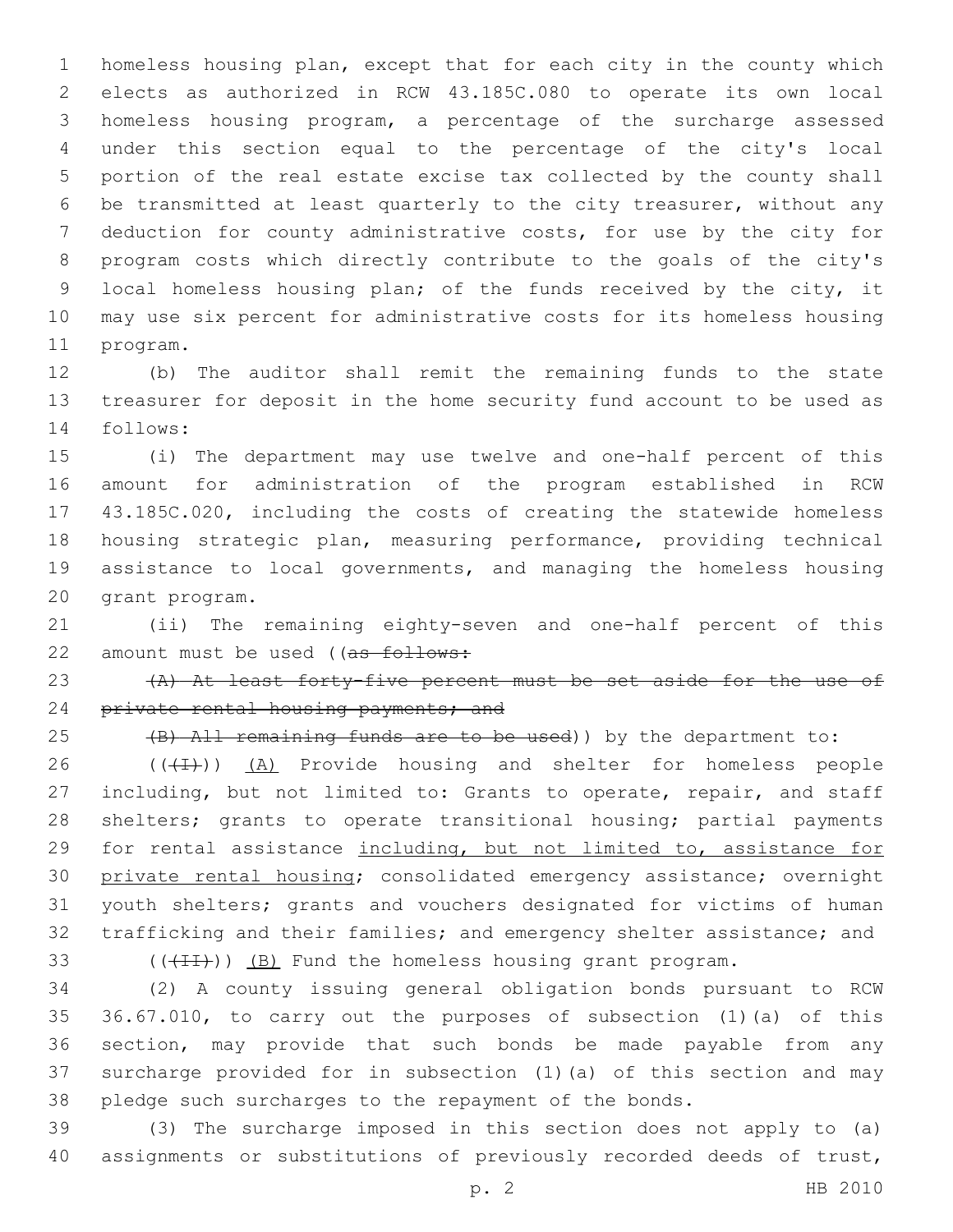homeless housing plan, except that for each city in the county which elects as authorized in RCW 43.185C.080 to operate its own local homeless housing program, a percentage of the surcharge assessed under this section equal to the percentage of the city's local portion of the real estate excise tax collected by the county shall be transmitted at least quarterly to the city treasurer, without any deduction for county administrative costs, for use by the city for program costs which directly contribute to the goals of the city's local homeless housing plan; of the funds received by the city, it may use six percent for administrative costs for its homeless housing 11 program.

 (b) The auditor shall remit the remaining funds to the state treasurer for deposit in the home security fund account to be used as 14 follows:

 (i) The department may use twelve and one-half percent of this amount for administration of the program established in RCW 43.185C.020, including the costs of creating the statewide homeless housing strategic plan, measuring performance, providing technical assistance to local governments, and managing the homeless housing 20 grant program.

 (ii) The remaining eighty-seven and one-half percent of this 22 amount must be used ((as follows:

23 (A) At least forty-five percent must be set aside for the use of 24 private rental housing payments; and

25 (B) All remaining funds are to be used)) by the department to:

 ( $(\overline{(+1)})$ )  $(A)$  Provide housing and shelter for homeless people 27 including, but not limited to: Grants to operate, repair, and staff 28 shelters; grants to operate transitional housing; partial payments for rental assistance including, but not limited to, assistance for private rental housing; consolidated emergency assistance; overnight youth shelters; grants and vouchers designated for victims of human trafficking and their families; and emergency shelter assistance; and

33  $((+I+I))$   $(B)$  Fund the homeless housing grant program.

 (2) A county issuing general obligation bonds pursuant to RCW 36.67.010, to carry out the purposes of subsection (1)(a) of this section, may provide that such bonds be made payable from any surcharge provided for in subsection (1)(a) of this section and may pledge such surcharges to the repayment of the bonds.

 (3) The surcharge imposed in this section does not apply to (a) assignments or substitutions of previously recorded deeds of trust,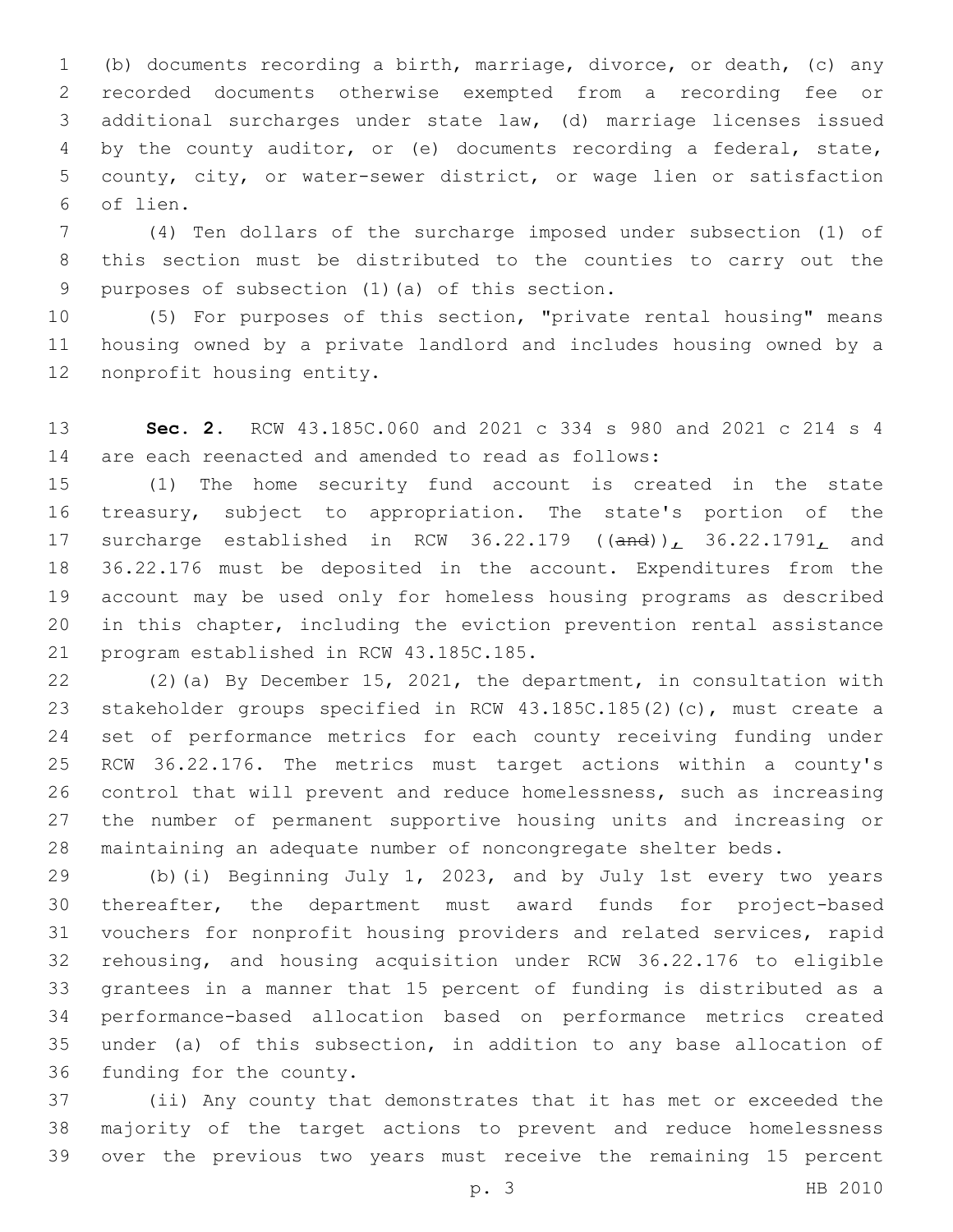(b) documents recording a birth, marriage, divorce, or death, (c) any recorded documents otherwise exempted from a recording fee or additional surcharges under state law, (d) marriage licenses issued by the county auditor, or (e) documents recording a federal, state, county, city, or water-sewer district, or wage lien or satisfaction of lien.6

 (4) Ten dollars of the surcharge imposed under subsection (1) of this section must be distributed to the counties to carry out the 9 purposes of subsection (1)(a) of this section.

 (5) For purposes of this section, "private rental housing" means housing owned by a private landlord and includes housing owned by a 12 nonprofit housing entity.

 **Sec. 2.** RCW 43.185C.060 and 2021 c 334 s 980 and 2021 c 214 s 4 are each reenacted and amended to read as follows:

 (1) The home security fund account is created in the state treasury, subject to appropriation. The state's portion of the 17 surcharge established in RCW 36.22.179 ((and)), 36.22.1791, and 36.22.176 must be deposited in the account. Expenditures from the account may be used only for homeless housing programs as described in this chapter, including the eviction prevention rental assistance 21 program established in RCW 43.185C.185.

 (2)(a) By December 15, 2021, the department, in consultation with stakeholder groups specified in RCW 43.185C.185(2)(c), must create a set of performance metrics for each county receiving funding under RCW 36.22.176. The metrics must target actions within a county's control that will prevent and reduce homelessness, such as increasing the number of permanent supportive housing units and increasing or maintaining an adequate number of noncongregate shelter beds.

 (b)(i) Beginning July 1, 2023, and by July 1st every two years thereafter, the department must award funds for project-based vouchers for nonprofit housing providers and related services, rapid rehousing, and housing acquisition under RCW 36.22.176 to eligible grantees in a manner that 15 percent of funding is distributed as a performance-based allocation based on performance metrics created under (a) of this subsection, in addition to any base allocation of 36 funding for the county.

 (ii) Any county that demonstrates that it has met or exceeded the majority of the target actions to prevent and reduce homelessness over the previous two years must receive the remaining 15 percent